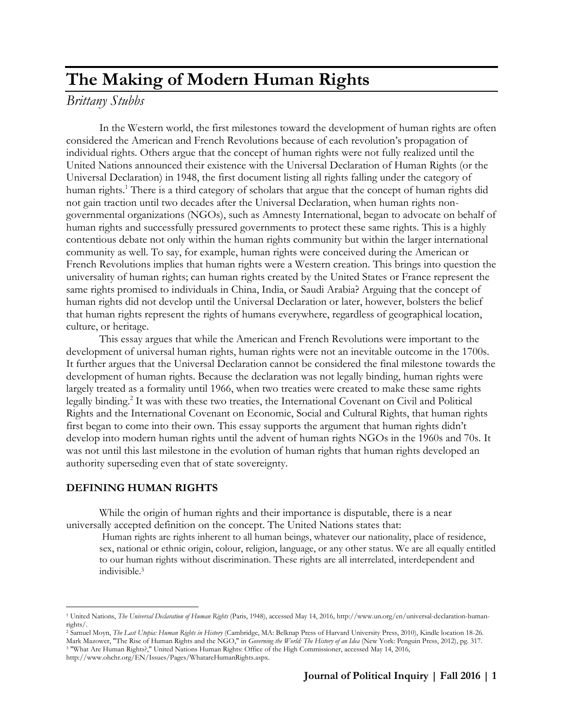# **The Making of Modern Human Rights**

## *Brittany Stubbs*

In the Western world, the first milestones toward the development of human rights are often considered the American and French Revolutions because of each revolution's propagation of individual rights. Others argue that the concept of human rights were not fully realized until the United Nations announced their existence with the Universal Declaration of Human Rights (or the Universal Declaration) in 1948, the first document listing all rights falling under the category of human rights.<sup>1</sup> There is a third category of scholars that argue that the concept of human rights did not gain traction until two decades after the Universal Declaration, when human rights nongovernmental organizations (NGOs), such as Amnesty International, began to advocate on behalf of human rights and successfully pressured governments to protect these same rights. This is a highly contentious debate not only within the human rights community but within the larger international community as well. To say, for example, human rights were conceived during the American or French Revolutions implies that human rights were a Western creation. This brings into question the universality of human rights; can human rights created by the United States or France represent the same rights promised to individuals in China, India, or Saudi Arabia? Arguing that the concept of human rights did not develop until the Universal Declaration or later, however, bolsters the belief that human rights represent the rights of humans everywhere, regardless of geographical location, culture, or heritage.

This essay argues that while the American and French Revolutions were important to the development of universal human rights, human rights were not an inevitable outcome in the 1700s. It further argues that the Universal Declaration cannot be considered the final milestone towards the development of human rights. Because the declaration was not legally binding, human rights were largely treated as a formality until 1966, when two treaties were created to make these same rights legally binding.<sup>2</sup> It was with these two treaties, the International Covenant on Civil and Political Rights and the International Covenant on Economic, Social and Cultural Rights, that human rights first began to come into their own. This essay supports the argument that human rights didn't develop into modern human rights until the advent of human rights NGOs in the 1960s and 70s. It was not until this last milestone in the evolution of human rights that human rights developed an authority superseding even that of state sovereignty.

## **DEFINING HUMAN RIGHTS**

While the origin of human rights and their importance is disputable, there is a near universally accepted definition on the concept. The United Nations states that:

Human rights are rights inherent to all human beings, whatever our nationality, place of residence, sex, national or ethnic origin, colour, religion, language, or any other status. We are all equally entitled to our human rights without discrimination. These rights are all interrelated, interdependent and indivisible.<sup>3</sup>

 $\overline{a}$ <sup>1</sup> United Nations, *The Universal Declaration of Human Rights* (Paris, 1948), accessed May 14, 2016, http://www.un.org/en/universal-declaration-humanrights/.

<sup>2</sup> Samuel Moyn, *The Last Utopia: Human Rights in History* (Cambridge, MA: Belknap Press of Harvard University Press, 2010), Kindle location 18-26. Mark Mazower, "The Rise of Human Rights and the NGO," in *Governing the World: The History of an Idea* (New York: Penguin Press, 2012), pg. 317. <sup>3</sup> "What Are Human Rights?," United Nations Human Rights: Office of the High Commissioner, accessed May 14, 2016, http://www.ohchr.org/EN/Issues/Pages/WhatareHumanRights.aspx.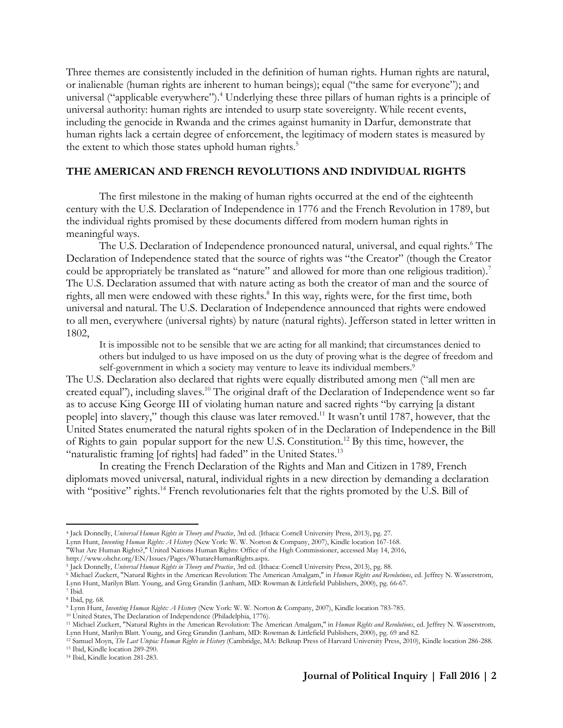Three themes are consistently included in the definition of human rights. Human rights are natural, or inalienable (human rights are inherent to human beings); equal ("the same for everyone"); and universal ("applicable everywhere").<sup>4</sup> Underlying these three pillars of human rights is a principle of universal authority: human rights are intended to usurp state sovereignty. While recent events, including the genocide in Rwanda and the crimes against humanity in Darfur, demonstrate that human rights lack a certain degree of enforcement, the legitimacy of modern states is measured by the extent to which those states uphold human rights.<sup>5</sup>

#### **THE AMERICAN AND FRENCH REVOLUTIONS AND INDIVIDUAL RIGHTS**

The first milestone in the making of human rights occurred at the end of the eighteenth century with the U.S. Declaration of Independence in 1776 and the French Revolution in 1789, but the individual rights promised by these documents differed from modern human rights in meaningful ways.

The U.S. Declaration of Independence pronounced natural, universal, and equal rights.<sup>6</sup> The Declaration of Independence stated that the source of rights was "the Creator" (though the Creator could be appropriately be translated as "nature" and allowed for more than one religious tradition).<sup>7</sup> The U.S. Declaration assumed that with nature acting as both the creator of man and the source of rights, all men were endowed with these rights.<sup>8</sup> In this way, rights were, for the first time, both universal and natural. The U.S. Declaration of Independence announced that rights were endowed to all men, everywhere (universal rights) by nature (natural rights). Jefferson stated in letter written in 1802,

It is impossible not to be sensible that we are acting for all mankind; that circumstances denied to others but indulged to us have imposed on us the duty of proving what is the degree of freedom and self-government in which a society may venture to leave its individual members.<sup>9</sup>

The U.S. Declaration also declared that rights were equally distributed among men ("all men are created equal"), including slaves.<sup>10</sup> The original draft of the Declaration of Independence went so far as to accuse King George III of violating human nature and sacred rights "by carrying [a distant people] into slavery," though this clause was later removed.<sup>11</sup> It wasn't until 1787, however, that the United States enumerated the natural rights spoken of in the Declaration of Independence in the Bill of Rights to gain popular support for the new U.S. Constitution.<sup>12</sup> By this time, however, the "naturalistic framing [of rights] had faded" in the United States.<sup>13</sup>

In creating the French Declaration of the Rights and Man and Citizen in 1789, French diplomats moved universal, natural, individual rights in a new direction by demanding a declaration with "positive" rights.<sup>14</sup> French revolutionaries felt that the rights promoted by the U.S. Bill of

 $\overline{a}$ 

<sup>4</sup> Jack Donnelly, *Universal Human Rights in Theory and Practice*, 3rd ed. (Ithaca: Cornell University Press, 2013), pg. 27.

Lynn Hunt, *Inventing Human Rights: A History* (New York: W. W. Norton & Company, 2007), Kindle location 167-168.

<sup>&</sup>quot;What Are Human Rights?," United Nations Human Rights: Office of the High Commissioner, accessed May 14, 2016,

http://www.ohchr.org/EN/Issues/Pages/WhatareHumanRights.aspx.

<sup>5</sup> Jack Donnelly, *Universal Human Rights in Theory and Practice*, 3rd ed. (Ithaca: Cornell University Press, 2013), pg. 88.

<sup>6</sup> Michael Zuckert, "Natural Rights in the American Revolution: The American Amalgam," in *Human Rights and Revolutions*, ed. Jeffrey N. Wasserstrom, Lynn Hunt, Marilyn Blatt. Young, and Greg Grandin (Lanham, MD: Rowman & Littlefield Publishers, 2000), pg. 66-67.

<sup>7</sup> Ibid. <sup>8</sup> Ibid, pg. 68.

<sup>9</sup> Lynn Hunt, *Inventing Human Rights: A History* (New York: W. W. Norton & Company, 2007), Kindle location 783-785.

<sup>&</sup>lt;sup>10</sup> United States, The Declaration of Independence (Philadelphia, 1776).

<sup>11</sup> Michael Zuckert, "Natural Rights in the American Revolution: The American Amalgam," in *Human Rights and Revolutions*, ed. Jeffrey N. Wasserstrom, Lynn Hunt, Marilyn Blatt. Young, and Greg Grandin (Lanham, MD: Rowman & Littlefield Publishers, 2000), pg. 69 and 82.

<sup>12</sup> Samuel Moyn, *The Last Utopia: Human Rights in History* (Cambridge, MA: Belknap Press of Harvard University Press, 2010), Kindle location 286-288. <sup>13</sup> Ibid, Kindle location 289-290.

<sup>14</sup> Ibid, Kindle location 281-283.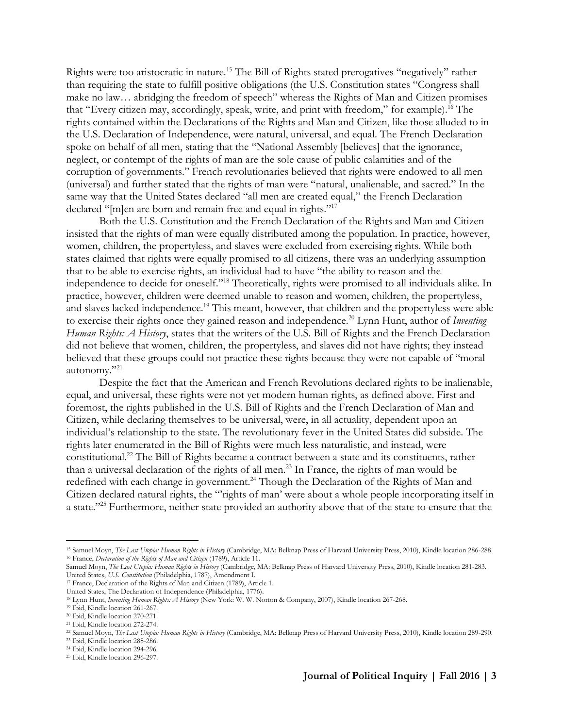Rights were too aristocratic in nature.<sup>15</sup> The Bill of Rights stated prerogatives "negatively" rather than requiring the state to fulfill positive obligations (the U.S. Constitution states "Congress shall make no law… abridging the freedom of speech" whereas the Rights of Man and Citizen promises that "Every citizen may, accordingly, speak, write, and print with freedom," for example).<sup>16</sup> The rights contained within the Declarations of the Rights and Man and Citizen, like those alluded to in the U.S. Declaration of Independence, were natural, universal, and equal. The French Declaration spoke on behalf of all men, stating that the "National Assembly [believes] that the ignorance, neglect, or contempt of the rights of man are the sole cause of public calamities and of the corruption of governments." French revolutionaries believed that rights were endowed to all men (universal) and further stated that the rights of man were "natural, unalienable, and sacred." In the same way that the United States declared "all men are created equal," the French Declaration declared "[m]en are born and remain free and equal in rights."<sup>17</sup>

Both the U.S. Constitution and the French Declaration of the Rights and Man and Citizen insisted that the rights of man were equally distributed among the population. In practice, however, women, children, the propertyless, and slaves were excluded from exercising rights. While both states claimed that rights were equally promised to all citizens, there was an underlying assumption that to be able to exercise rights, an individual had to have "the ability to reason and the independence to decide for oneself."<sup>18</sup> Theoretically, rights were promised to all individuals alike. In practice, however, children were deemed unable to reason and women, children, the propertyless, and slaves lacked independence.<sup>19</sup> This meant, however, that children and the propertyless were able to exercise their rights once they gained reason and independence.<sup>20</sup> Lynn Hunt, author of *Inventing Human Rights: A History*, states that the writers of the U.S. Bill of Rights and the French Declaration did not believe that women, children, the propertyless, and slaves did not have rights; they instead believed that these groups could not practice these rights because they were not capable of "moral autonomy."21

Despite the fact that the American and French Revolutions declared rights to be inalienable, equal, and universal, these rights were not yet modern human rights, as defined above. First and foremost, the rights published in the U.S. Bill of Rights and the French Declaration of Man and Citizen, while declaring themselves to be universal, were, in all actuality, dependent upon an individual's relationship to the state. The revolutionary fever in the United States did subside. The rights later enumerated in the Bill of Rights were much less naturalistic, and instead, were constitutional.<sup>22</sup> The Bill of Rights became a contract between a state and its constituents, rather than a universal declaration of the rights of all men.<sup>23</sup> In France, the rights of man would be redefined with each change in government.<sup>24</sup> Though the Declaration of the Rights of Man and Citizen declared natural rights, the "'rights of man' were about a whole people incorporating itself in a state."<sup>25</sup> Furthermore, neither state provided an authority above that of the state to ensure that the

<sup>17</sup> France, Declaration of the Rights of Man and Citizen (1789), Article 1.

 $\overline{a}$ <sup>15</sup> Samuel Moyn, *The Last Utopia: Human Rights in History* (Cambridge, MA: Belknap Press of Harvard University Press, 2010), Kindle location 286-288. <sup>16</sup> France, *Declaration of the Rights of Man and Citizen* (1789), Article 11.

Samuel Moyn, *The Last Utopia: Human Rights in History* (Cambridge, MA: Belknap Press of Harvard University Press, 2010), Kindle location 281-283. United States, *U.S. Constitution* (Philadelphia, 1787), Amendment I.

United States, The Declaration of Independence (Philadelphia, 1776).

<sup>18</sup> Lynn Hunt, *Inventing Human Rights: A History* (New York: W. W. Norton & Company, 2007), Kindle location 267-268.

<sup>19</sup> Ibid, Kindle location 261-267.

<sup>20</sup> Ibid, Kindle location 270-271.

<sup>21</sup> Ibid, Kindle location 272-274.

<sup>22</sup> Samuel Moyn, *The Last Utopia: Human Rights in History* (Cambridge, MA: Belknap Press of Harvard University Press, 2010), Kindle location 289-290. <sup>23</sup> Ibid, Kindle location 285-286.

<sup>24</sup> Ibid, Kindle location 294-296.

<sup>25</sup> Ibid, Kindle location 296-297.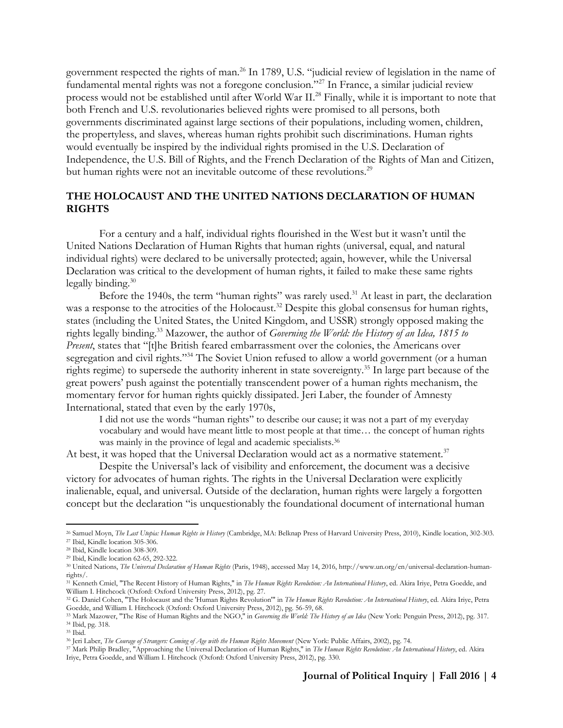government respected the rights of man.<sup>26</sup> In 1789, U.S. "judicial review of legislation in the name of fundamental mental rights was not a foregone conclusion."<sup>27</sup> In France, a similar judicial review process would not be established until after World War II.<sup>28</sup> Finally, while it is important to note that both French and U.S. revolutionaries believed rights were promised to all persons, both governments discriminated against large sections of their populations, including women, children, the propertyless, and slaves, whereas human rights prohibit such discriminations. Human rights would eventually be inspired by the individual rights promised in the U.S. Declaration of Independence, the U.S. Bill of Rights, and the French Declaration of the Rights of Man and Citizen, but human rights were not an inevitable outcome of these revolutions.<sup>29</sup>

### **THE HOLOCAUST AND THE UNITED NATIONS DECLARATION OF HUMAN RIGHTS**

For a century and a half, individual rights flourished in the West but it wasn't until the United Nations Declaration of Human Rights that human rights (universal, equal, and natural individual rights) were declared to be universally protected; again, however, while the Universal Declaration was critical to the development of human rights, it failed to make these same rights legally binding.<sup>30</sup>

Before the 1940s, the term "human rights" was rarely used.<sup>31</sup> At least in part, the declaration was a response to the atrocities of the Holocaust.<sup>32</sup> Despite this global consensus for human rights, states (including the United States, the United Kingdom, and USSR) strongly opposed making the rights legally binding.<sup>33</sup> Mazower, the author of *Governing the World: the History of an Idea, 1815 to Present*, states that "[t]he British feared embarrassment over the colonies, the Americans over segregation and civil rights."<sup>34</sup> The Soviet Union refused to allow a world government (or a human rights regime) to supersede the authority inherent in state sovereignty.<sup>35</sup> In large part because of the great powers' push against the potentially transcendent power of a human rights mechanism, the momentary fervor for human rights quickly dissipated. Jeri Laber, the founder of Amnesty International, stated that even by the early 1970s,

I did not use the words "human rights" to describe our cause; it was not a part of my everyday vocabulary and would have meant little to most people at that time… the concept of human rights was mainly in the province of legal and academic specialists.<sup>36</sup>

At best, it was hoped that the Universal Declaration would act as a normative statement.<sup>37</sup>

Despite the Universal's lack of visibility and enforcement, the document was a decisive victory for advocates of human rights. The rights in the Universal Declaration were explicitly inalienable, equal, and universal. Outside of the declaration, human rights were largely a forgotten concept but the declaration "is unquestionably the foundational document of international human

 $\overline{a}$ <sup>26</sup> Samuel Moyn, *The Last Utopia: Human Rights in History* (Cambridge, MA: Belknap Press of Harvard University Press, 2010), Kindle location, 302-303.

<sup>27</sup> Ibid, Kindle location 305-306.

<sup>28</sup> Ibid, Kindle location 308-309.

<sup>29</sup> Ibid, Kindle location 62-65, 292-322.

<sup>30</sup> United Nations, *The Universal Declaration of Human Rights* (Paris, 1948), accessed May 14, 2016, http://www.un.org/en/universal-declaration-humanrights/.

<sup>&</sup>lt;sup>31</sup> Kenneth Cmiel, "The Recent History of Human Rights," in *The Human Rights Revolution: An International History*, ed. Akira Iriye, Petra Goedde, and William I. Hitchcock (Oxford: Oxford University Press, 2012), pg. 27.

<sup>32</sup> G. Daniel Cohen, "The Holocaust and the 'Human Rights Revolution'" in *The Human Rights Revolution: An International History*, ed. Akira Iriye, Petra Goedde, and William I. Hitchcock (Oxford: Oxford University Press, 2012), pg. 56-59, 68.

<sup>33</sup> Mark Mazower, "The Rise of Human Rights and the NGO," in *Governing the World: The History of an Idea* (New York: Penguin Press, 2012), pg. 317. <sup>34</sup> Ibid, pg. 318.

<sup>35</sup> Ibid.

<sup>36</sup> Jeri Laber, *The Courage of Strangers: Coming of Age with the Human Rights Movement* (New York: Public Affairs, 2002), pg. 74.

<sup>37</sup> Mark Philip Bradley, "Approaching the Universal Declaration of Human Rights," in *The Human Rights Revolution: An International History*, ed. Akira Iriye, Petra Goedde, and William I. Hitchcock (Oxford: Oxford University Press, 2012), pg. 330.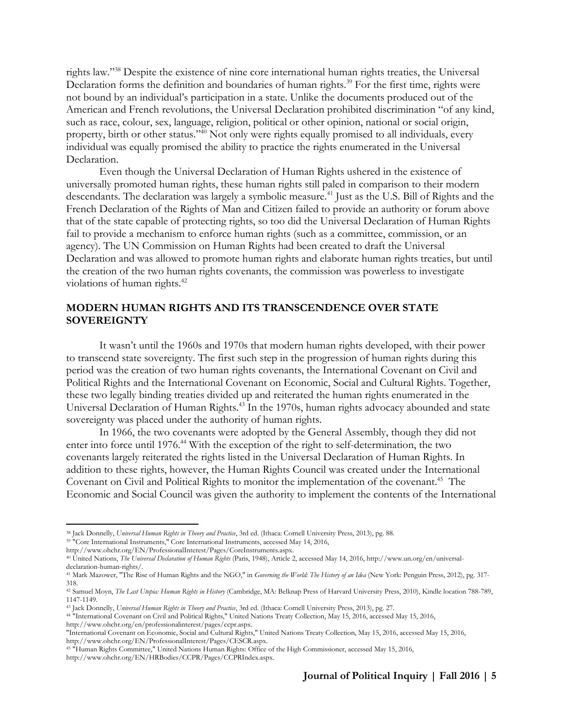rights law."<sup>38</sup> Despite the existence of nine core international human rights treaties, the Universal Declaration forms the definition and boundaries of human rights.<sup>39</sup> For the first time, rights were not bound by an individual's participation in a state. Unlike the documents produced out of the American and French revolutions, the Universal Declaration prohibited discrimination "of any kind, such as race, colour, sex, language, religion, political or other opinion, national or social origin, property, birth or other status."<sup>40</sup> Not only were rights equally promised to all individuals, every individual was equally promised the ability to practice the rights enumerated in the Universal Declaration.

Even though the Universal Declaration of Human Rights ushered in the existence of universally promoted human rights, these human rights still paled in comparison to their modern descendants. The declaration was largely a symbolic measure.<sup>41</sup> Just as the U.S. Bill of Rights and the French Declaration of the Rights of Man and Citizen failed to provide an authority or forum above that of the state capable of protecting rights, so too did the Universal Declaration of Human Rights fail to provide a mechanism to enforce human rights (such as a committee, commission, or an agency). The UN Commission on Human Rights had been created to draft the Universal Declaration and was allowed to promote human rights and elaborate human rights treaties, but until the creation of the two human rights covenants, the commission was powerless to investigate violations of human rights.<sup>42</sup>

## **MODERN HUMAN RIGHTS AND ITS TRANSCENDENCE OVER STATE SOVEREIGNTY**

It wasn't until the 1960s and 1970s that modern human rights developed, with their power to transcend state sovereignty. The first such step in the progression of human rights during this period was the creation of two human rights covenants, the International Covenant on Civil and Political Rights and the International Covenant on Economic, Social and Cultural Rights. Together, these two legally binding treaties divided up and reiterated the human rights enumerated in the Universal Declaration of Human Rights.<sup>43</sup> In the 1970s, human rights advocacy abounded and state sovereignty was placed under the authority of human rights.

In 1966, the two covenants were adopted by the General Assembly, though they did not enter into force until 1976.<sup>44</sup> With the exception of the right to self-determination, the two covenants largely reiterated the rights listed in the Universal Declaration of Human Rights. In addition to these rights, however, the Human Rights Council was created under the International Covenant on Civil and Political Rights to monitor the implementation of the covenant. 45 The Economic and Social Council was given the authority to implement the contents of the International

 $\overline{a}$ 

http://www.ohchr.org/EN/HRBodies/CCPR/Pages/CCPRIndex.aspx.

<sup>38</sup> Jack Donnelly, *Universal Human Rights in Theory and Practice*, 3rd ed. (Ithaca: Cornell University Press, 2013), pg. 88.

<sup>&</sup>lt;sup>39</sup> "Core International Instruments," Core International Instruments, accessed May 14, 2016,

http://www.ohchr.org/EN/ProfessionalInterest/Pages/CoreInstruments.aspx.

<sup>40</sup> United Nations, *The Universal Declaration of Human Rights* (Paris, 1948), Article 2, accessed May 14, 2016, http://www.un.org/en/universaldeclaration-human-rights/.

<sup>41</sup> Mark Mazower, "The Rise of Human Rights and the NGO," in *Governing the World: The History of an Idea* (New York: Penguin Press, 2012), pg. 317- 318.

<sup>42</sup> Samuel Moyn, *The Last Utopia: Human Rights in History* (Cambridge, MA: Belknap Press of Harvard University Press, 2010), Kindle location 788-789, 1147-1149.

<sup>43</sup> Jack Donnelly, *Universal Human Rights in Theory and Practice*, 3rd ed. (Ithaca: Cornell University Press, 2013), pg. 27.

<sup>44</sup> "International Covenant on Civil and Political Rights," United Nations Treaty Collection, May 15, 2016, accessed May 15, 2016, http://www.ohchr.org/en/professionalinterest/pages/ccpr.aspx.

<sup>&</sup>quot;International Covenant on Economic, Social and Cultural Rights," United Nations Treaty Collection, May 15, 2016, accessed May 15, 2016, http://www.ohchr.org/EN/ProfessionalInterest/Pages/CESCR.aspx.

<sup>45</sup> "Human Rights Committee," United Nations Human Rights: Office of the High Commissioner, accessed May 15, 2016,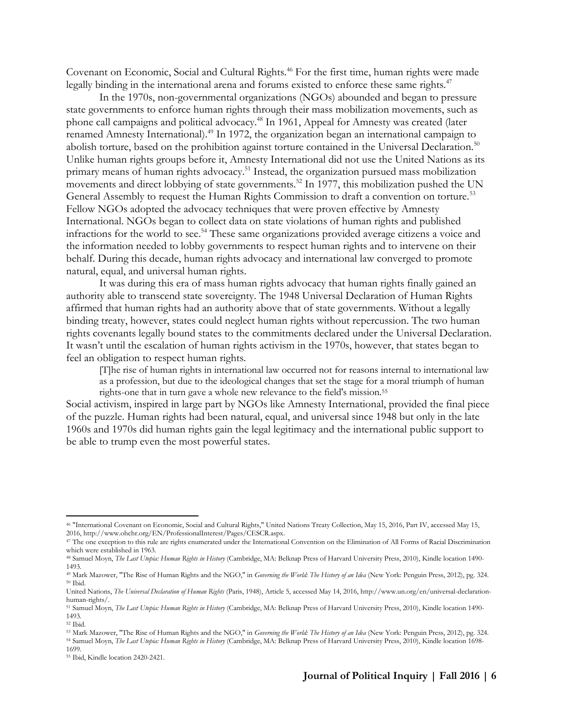Covenant on Economic, Social and Cultural Rights.<sup>46</sup> For the first time, human rights were made legally binding in the international arena and forums existed to enforce these same rights.<sup>47</sup>

In the 1970s, non-governmental organizations (NGOs) abounded and began to pressure state governments to enforce human rights through their mass mobilization movements, such as phone call campaigns and political advocacy.<sup>48</sup> In 1961, Appeal for Amnesty was created (later renamed Amnesty International).<sup>49</sup> In 1972, the organization began an international campaign to abolish torture, based on the prohibition against torture contained in the Universal Declaration.<sup>50</sup> Unlike human rights groups before it, Amnesty International did not use the United Nations as its primary means of human rights advocacy.<sup>51</sup> Instead, the organization pursued mass mobilization movements and direct lobbying of state governments.<sup>52</sup> In 1977, this mobilization pushed the UN General Assembly to request the Human Rights Commission to draft a convention on torture.<sup>53</sup> Fellow NGOs adopted the advocacy techniques that were proven effective by Amnesty International. NGOs began to collect data on state violations of human rights and published infractions for the world to see.<sup>54</sup> These same organizations provided average citizens a voice and the information needed to lobby governments to respect human rights and to intervene on their behalf. During this decade, human rights advocacy and international law converged to promote natural, equal, and universal human rights.

It was during this era of mass human rights advocacy that human rights finally gained an authority able to transcend state sovereignty. The 1948 Universal Declaration of Human Rights affirmed that human rights had an authority above that of state governments. Without a legally binding treaty, however, states could neglect human rights without repercussion. The two human rights covenants legally bound states to the commitments declared under the Universal Declaration. It wasn't until the escalation of human rights activism in the 1970s, however, that states began to feel an obligation to respect human rights.

[T]he rise of human rights in international law occurred not for reasons internal to international law as a profession, but due to the ideological changes that set the stage for a moral triumph of human rights-one that in turn gave a whole new relevance to the field's mission.<sup>55</sup>

Social activism, inspired in large part by NGOs like Amnesty International, provided the final piece of the puzzle. Human rights had been natural, equal, and universal since 1948 but only in the late 1960s and 1970s did human rights gain the legal legitimacy and the international public support to be able to trump even the most powerful states.

 $\overline{a}$ 

<sup>46</sup> "International Covenant on Economic, Social and Cultural Rights," United Nations Treaty Collection, May 15, 2016, Part IV, accessed May 15, 2016, http://www.ohchr.org/EN/ProfessionalInterest/Pages/CESCR.aspx.

<sup>47</sup> The one exception to this rule are rights enumerated under the International Convention on the Elimination of All Forms of Racial Discrimination which were established in 1963.

<sup>48</sup> Samuel Moyn, *The Last Utopia: Human Rights in History* (Cambridge, MA: Belknap Press of Harvard University Press, 2010), Kindle location 1490- 1493.

<sup>49</sup> Mark Mazower, "The Rise of Human Rights and the NGO," in *Governing the World: The History of an Idea* (New York: Penguin Press, 2012), pg. 324. <sup>50</sup> Ibid.

United Nations, *The Universal Declaration of Human Rights* (Paris, 1948), Article 5, accessed May 14, 2016, http://www.un.org/en/universal-declarationhuman-rights/.

<sup>51</sup> Samuel Moyn, *The Last Utopia: Human Rights in History* (Cambridge, MA: Belknap Press of Harvard University Press, 2010), Kindle location 1490- 1493.

<sup>52</sup> Ibid.

<sup>53</sup> Mark Mazower, "The Rise of Human Rights and the NGO," in *Governing the World: The History of an Idea* (New York: Penguin Press, 2012), pg. 324. <sup>54</sup> Samuel Moyn, *The Last Utopia: Human Rights in History* (Cambridge, MA: Belknap Press of Harvard University Press, 2010), Kindle location 1698- 1699.

<sup>55</sup> Ibid, Kindle location 2420-2421.